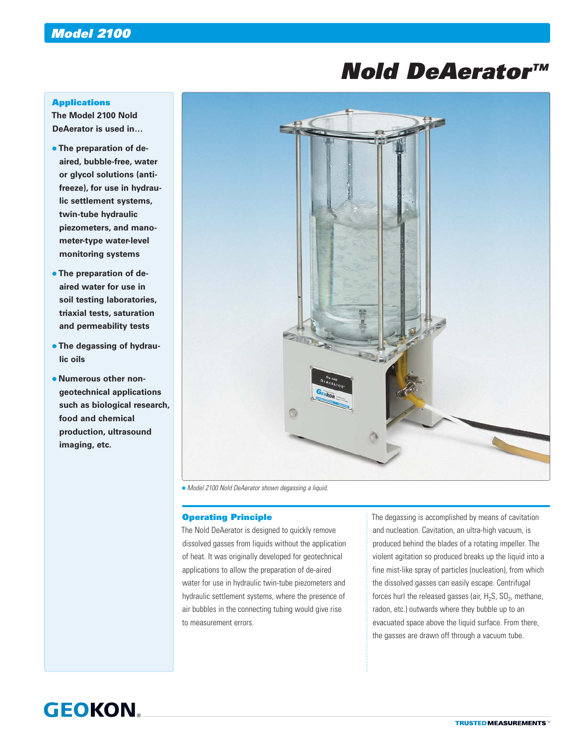# *Nold DeAerator™*

### **Applications**

**The Model 2100 Nold DeAerator is used in…**

- **The preparation of deaired, bubble-free, water or glycol solutions (antifreeze), for use in hydraulic settlement systems, twin-tube hydraulic piezometers, and manometer-type water-level monitoring systems**
- **The preparation of deaired water for use in soil testing laboratories, triaxial tests, saturation and permeability tests**
- **The degassing of hydraulic oils**
- **Numerous other nongeotechnical applications such as biological research, food and chemical production, ultrasound imaging, etc.**



*Model 2100 Nold DeAerator shown degassing a liquid.*

## Operating Principle

The Nold DeAerator is designed to quickly remove dissolved gasses from liquids without the application of heat. It was originally developed for geotechnical applications to allow the preparation of de-aired water for use in hydraulic twin-tube piezometers and hydraulic settlement systems, where the presence of air bubbles in the connecting tubing would give rise to measurement errors.

The degassing is accomplished by means of cavitation and nucleation. Cavitation, an ultra-high vacuum, is produced behind the blades of a rotating impeller. The violent agitation so produced breaks up the liquid into a fine mist-like spray of particles (nucleation), from which the dissolved gasses can easily escape. Centrifugal forces hurl the released gasses (air,  $H_2S$ ,  $SO_2$ , methane, radon, etc.) outwards where they bubble up to an evacuated space above the liquid surface. From there, the gasses are drawn off through a vacuum tube.